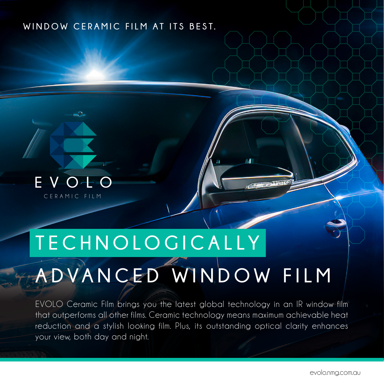#### **WINDOW CERAMIC FILM AT ITS BEST.**



CERAMIC FILM

## **T E C H N O L O G I C A L L Y**

# **ADVANCED WINDOW FILM**

EVOLO Ceramic Film brings you the latest global technology in an IR window film that outperforms all other films. Ceramic technology means maximum achievable heat reduction and a stylish looking film. Plus, its outstanding optical clarity enhances your view, both day and night.

 $\mathbf{d}$ 

**CACTILLIAN**